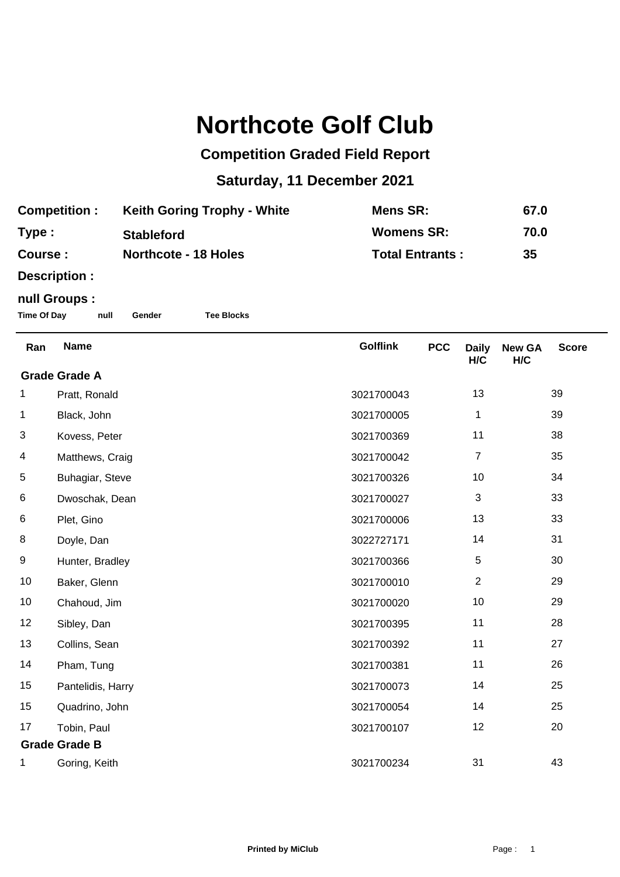## **Northcote Golf Club**

## **Competition Graded Field Report**

## **Saturday, 11 December 2021**

| <b>Competition:</b> | <b>Keith Goring Trophy - White</b> | Mens SR:               | 67.0 |
|---------------------|------------------------------------|------------------------|------|
| Type :              | <b>Stableford</b>                  | <b>Womens SR:</b>      | 70.0 |
| <b>Course:</b>      | <b>Northcote - 18 Holes</b>        | <b>Total Entrants:</b> | 35   |

**Description :**

## **null Groups :**

**Time Of Day null Gender Tee Blocks**

| Ran                  | <b>Name</b>       | <b>Golflink</b> | <b>PCC</b> | <b>Daily</b><br>H/C | <b>New GA</b><br>H/C | <b>Score</b> |  |
|----------------------|-------------------|-----------------|------------|---------------------|----------------------|--------------|--|
| <b>Grade Grade A</b> |                   |                 |            |                     |                      |              |  |
| 1                    | Pratt, Ronald     | 3021700043      |            | 13                  |                      | 39           |  |
| 1                    | Black, John       | 3021700005      |            | 1                   |                      | 39           |  |
| 3                    | Kovess, Peter     | 3021700369      |            | 11                  |                      | 38           |  |
| 4                    | Matthews, Craig   | 3021700042      |            | $\overline{7}$      |                      | 35           |  |
| 5                    | Buhagiar, Steve   | 3021700326      |            | 10                  |                      | 34           |  |
| 6                    | Dwoschak, Dean    | 3021700027      |            | $\mathbf{3}$        |                      | 33           |  |
| 6                    | Plet, Gino        | 3021700006      |            | 13                  |                      | 33           |  |
| 8                    | Doyle, Dan        | 3022727171      |            | 14                  |                      | 31           |  |
| 9                    | Hunter, Bradley   | 3021700366      |            | 5                   |                      | 30           |  |
| 10                   | Baker, Glenn      | 3021700010      |            | $\overline{2}$      |                      | 29           |  |
| 10                   | Chahoud, Jim      | 3021700020      |            | 10                  |                      | 29           |  |
| 12                   | Sibley, Dan       | 3021700395      |            | 11                  |                      | 28           |  |
| 13                   | Collins, Sean     | 3021700392      |            | 11                  |                      | 27           |  |
| 14                   | Pham, Tung        | 3021700381      |            | 11                  |                      | 26           |  |
| 15                   | Pantelidis, Harry | 3021700073      |            | 14                  |                      | 25           |  |
| 15                   | Quadrino, John    | 3021700054      |            | 14                  |                      | 25           |  |
| 17                   | Tobin, Paul       | 3021700107      |            | 12                  |                      | 20           |  |
| <b>Grade Grade B</b> |                   |                 |            |                     |                      |              |  |
| 1                    | Goring, Keith     | 3021700234      |            | 31                  |                      | 43           |  |